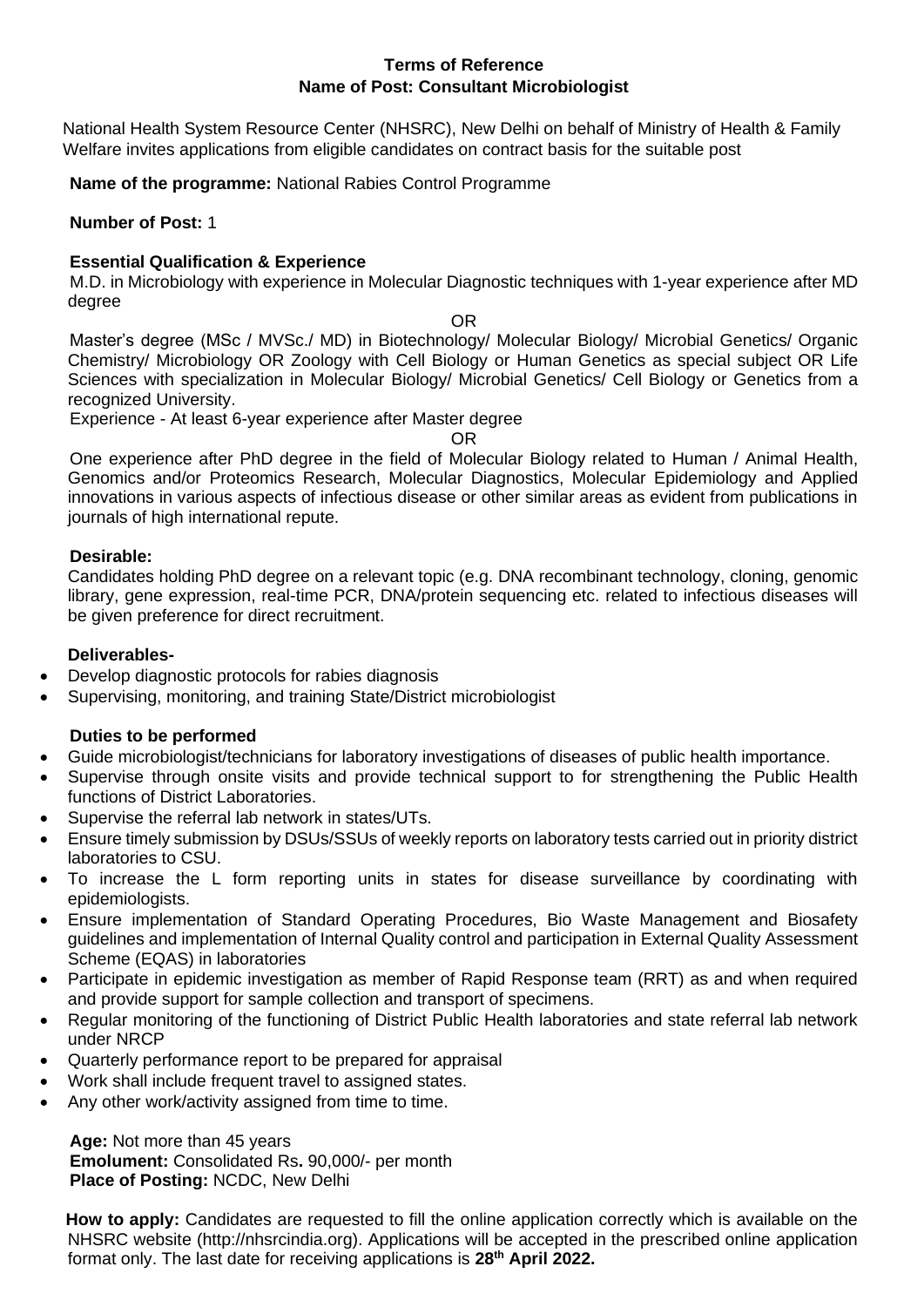#### **Terms of Reference Name of Post: Consultant Microbiologist**

National Health System Resource Center (NHSRC), New Delhi on behalf of Ministry of Health & Family Welfare invites applications from eligible candidates on contract basis for the suitable post

**Name of the programme:** National Rabies Control Programme

#### **Number of Post:** 1

### **Essential Qualification & Experience**

M.D. in Microbiology with experience in Molecular Diagnostic techniques with 1-year experience after MD degree

OR

Master's degree (MSc / MVSc./ MD) in Biotechnology/ Molecular Biology/ Microbial Genetics/ Organic Chemistry/ Microbiology OR Zoology with Cell Biology or Human Genetics as special subject OR Life Sciences with specialization in Molecular Biology/ Microbial Genetics/ Cell Biology or Genetics from a recognized University.

Experience - At least 6-year experience after Master degree

OR

One experience after PhD degree in the field of Molecular Biology related to Human / Animal Health, Genomics and/or Proteomics Research, Molecular Diagnostics, Molecular Epidemiology and Applied innovations in various aspects of infectious disease or other similar areas as evident from publications in journals of high international repute.

#### **Desirable:**

Candidates holding PhD degree on a relevant topic (e.g. DNA recombinant technology, cloning, genomic library, gene expression, real-time PCR, DNA/protein sequencing etc. related to infectious diseases will be given preference for direct recruitment.

### **Deliverables-**

- Develop diagnostic protocols for rabies diagnosis
- Supervising, monitoring, and training State/District microbiologist

#### **Duties to be performed**

- Guide microbiologist/technicians for laboratory investigations of diseases of public health importance.
- Supervise through onsite visits and provide technical support to for strengthening the Public Health functions of District Laboratories.
- Supervise the referral lab network in states/UTs.
- Ensure timely submission by DSUs/SSUs of weekly reports on laboratory tests carried out in priority district laboratories to CSU.
- To increase the L form reporting units in states for disease surveillance by coordinating with epidemiologists.
- Ensure implementation of Standard Operating Procedures, Bio Waste Management and Biosafety guidelines and implementation of Internal Quality control and participation in External Quality Assessment Scheme (EQAS) in laboratories
- Participate in epidemic investigation as member of Rapid Response team (RRT) as and when required and provide support for sample collection and transport of specimens.
- Regular monitoring of the functioning of District Public Health laboratories and state referral lab network under NRCP
- Quarterly performance report to be prepared for appraisal
- Work shall include frequent travel to assigned states.
- Any other work/activity assigned from time to time.

**Age:** Not more than 45 years **Emolument:** Consolidated Rs**.** 90,000/- per month **Place of Posting:** NCDC, New Delhi

**How to apply:** Candidates are requested to fill the online application correctly which is available on the NHSRC website (http://nhsrcindia.org). Applications will be accepted in the prescribed online application format only. The last date for receiving applications is **28 th April 2022.**